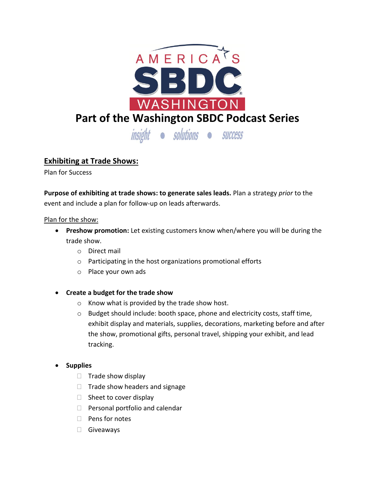

# **Exhibiting at Trade Shows:**

Plan for Success

**Purpose of exhibiting at trade shows: to generate sales leads.** Plan a strategy *prior* to the event and include a plan for follow-up on leads afterwards.

## Plan for the show:

- **Preshow promotion:** Let existing customers know when/where you will be during the trade show.
	- o Direct mail
	- o Participating in the host organizations promotional efforts
	- o Place your own ads
- **Create a budget for the trade show**
	- o Know what is provided by the trade show host.
	- $\circ$  Budget should include: booth space, phone and electricity costs, staff time, exhibit display and materials, supplies, decorations, marketing before and after the show, promotional gifts, personal travel, shipping your exhibit, and lead tracking.

# **Supplies**

- $\Box$  Trade show display
- $\Box$  Trade show headers and signage
- $\Box$  Sheet to cover display
- $\Box$  Personal portfolio and calendar
- $\Box$  Pens for notes
- Giveaways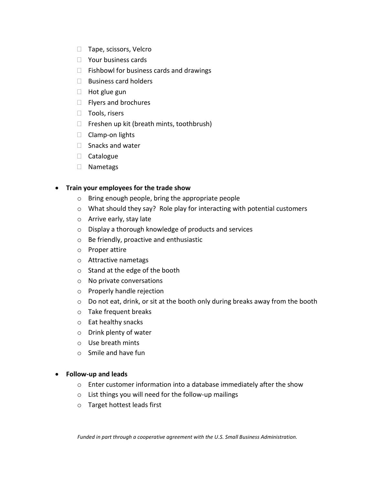- □ Tape, scissors, Velcro
- □ Your business cards
- $\Box$  Fishbowl for business cards and drawings
- $\Box$  Business card holders
- $\Box$  Hot glue gun
- $\Box$  Flyers and brochures
- $\Box$  Tools, risers
- $\Box$  Freshen up kit (breath mints, toothbrush)
- $\Box$  Clamp-on lights
- $\Box$  Snacks and water
- □ Catalogue
- Nametags

## **Train your employees for the trade show**

- o Bring enough people, bring the appropriate people
- o What should they say? Role play for interacting with potential customers
- o Arrive early, stay late
- o Display a thorough knowledge of products and services
- o Be friendly, proactive and enthusiastic
- o Proper attire
- o Attractive nametags
- o Stand at the edge of the booth
- o No private conversations
- o Properly handle rejection
- o Do not eat, drink, or sit at the booth only during breaks away from the booth
- o Take frequent breaks
- o Eat healthy snacks
- o Drink plenty of water
- o Use breath mints
- o Smile and have fun

#### **Follow-up and leads**

- o Enter customer information into a database immediately after the show
- o List things you will need for the follow-up mailings
- o Target hottest leads first

*Funded in part through a cooperative agreement with the U.S. Small Business Administration.*